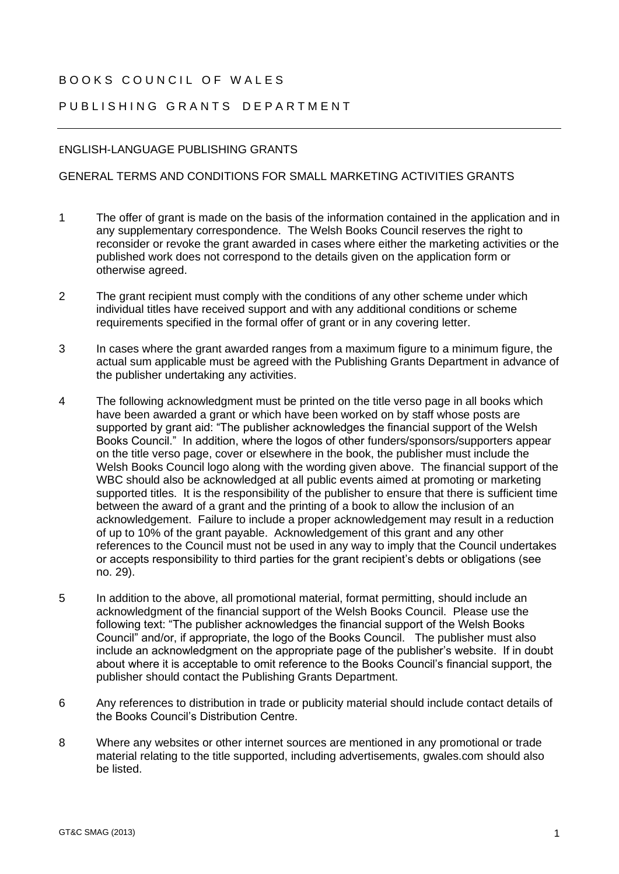## BOOKS COUNCIL OF WALFS

## PUBLISHING GRANTS DEPARTMENT

## ENGLISH-LANGUAGE PUBLISHING GRANTS

## GENERAL TERMS AND CONDITIONS FOR SMALL MARKETING ACTIVITIES GRANTS

- 1 The offer of grant is made on the basis of the information contained in the application and in any supplementary correspondence. The Welsh Books Council reserves the right to reconsider or revoke the grant awarded in cases where either the marketing activities or the published work does not correspond to the details given on the application form or otherwise agreed.
- 2 The grant recipient must comply with the conditions of any other scheme under which individual titles have received support and with any additional conditions or scheme requirements specified in the formal offer of grant or in any covering letter.
- 3 In cases where the grant awarded ranges from a maximum figure to a minimum figure, the actual sum applicable must be agreed with the Publishing Grants Department in advance of the publisher undertaking any activities.
- 4 The following acknowledgment must be printed on the title verso page in all books which have been awarded a grant or which have been worked on by staff whose posts are supported by grant aid: "The publisher acknowledges the financial support of the Welsh Books Council." In addition, where the logos of other funders/sponsors/supporters appear on the title verso page, cover or elsewhere in the book, the publisher must include the Welsh Books Council logo along with the wording given above. The financial support of the WBC should also be acknowledged at all public events aimed at promoting or marketing supported titles. It is the responsibility of the publisher to ensure that there is sufficient time between the award of a grant and the printing of a book to allow the inclusion of an acknowledgement. Failure to include a proper acknowledgement may result in a reduction of up to 10% of the grant payable. Acknowledgement of this grant and any other references to the Council must not be used in any way to imply that the Council undertakes or accepts responsibility to third parties for the grant recipient's debts or obligations (see no. 29).
- 5 In addition to the above, all promotional material, format permitting, should include an acknowledgment of the financial support of the Welsh Books Council. Please use the following text: "The publisher acknowledges the financial support of the Welsh Books Council" and/or, if appropriate, the logo of the Books Council. The publisher must also include an acknowledgment on the appropriate page of the publisher's website. If in doubt about where it is acceptable to omit reference to the Books Council's financial support, the publisher should contact the Publishing Grants Department.
- 6 Any references to distribution in trade or publicity material should include contact details of the Books Council's Distribution Centre.
- 8 Where any websites or other internet sources are mentioned in any promotional or trade material relating to the title supported, including advertisements, gwales.com should also be listed.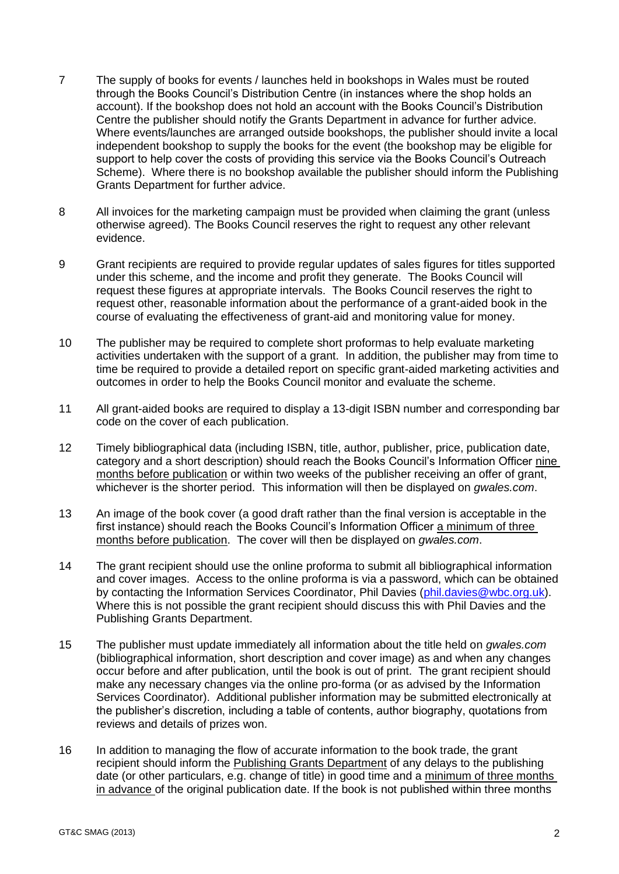- 7 The supply of books for events / launches held in bookshops in Wales must be routed through the Books Council's Distribution Centre (in instances where the shop holds an account). If the bookshop does not hold an account with the Books Council's Distribution Centre the publisher should notify the Grants Department in advance for further advice. Where events/launches are arranged outside bookshops, the publisher should invite a local independent bookshop to supply the books for the event (the bookshop may be eligible for support to help cover the costs of providing this service via the Books Council's Outreach Scheme). Where there is no bookshop available the publisher should inform the Publishing Grants Department for further advice.
- 8 All invoices for the marketing campaign must be provided when claiming the grant (unless otherwise agreed). The Books Council reserves the right to request any other relevant evidence.
- 9 Grant recipients are required to provide regular updates of sales figures for titles supported under this scheme, and the income and profit they generate. The Books Council will request these figures at appropriate intervals. The Books Council reserves the right to request other, reasonable information about the performance of a grant-aided book in the course of evaluating the effectiveness of grant-aid and monitoring value for money.
- 10 The publisher may be required to complete short proformas to help evaluate marketing activities undertaken with the support of a grant. In addition, the publisher may from time to time be required to provide a detailed report on specific grant-aided marketing activities and outcomes in order to help the Books Council monitor and evaluate the scheme.
- 11 All grant-aided books are required to display a 13-digit ISBN number and corresponding bar code on the cover of each publication.
- 12 Timely bibliographical data (including ISBN, title, author, publisher, price, publication date, category and a short description) should reach the Books Council's Information Officer nine months before publication or within two weeks of the publisher receiving an offer of grant, whichever is the shorter period. This information will then be displayed on *gwales.com*.
- 13 An image of the book cover (a good draft rather than the final version is acceptable in the first instance) should reach the Books Council's Information Officer a minimum of three months before publication. The cover will then be displayed on *gwales.com*.
- 14 The grant recipient should use the online proforma to submit all bibliographical information and cover images. Access to the online proforma is via a password, which can be obtained by contacting the Information Services Coordinator, Phil Davies [\(phil.davies@wbc.org.uk\)](mailto:phil.davies@cllc.org.uk). Where this is not possible the grant recipient should discuss this with Phil Davies and the Publishing Grants Department.
- 15 The publisher must update immediately all information about the title held on *gwales.com* (bibliographical information, short description and cover image) as and when any changes occur before and after publication, until the book is out of print. The grant recipient should make any necessary changes via the online pro-forma (or as advised by the Information Services Coordinator). Additional publisher information may be submitted electronically at the publisher's discretion, including a table of contents, author biography, quotations from reviews and details of prizes won.
- 16 In addition to managing the flow of accurate information to the book trade, the grant recipient should inform the Publishing Grants Department of any delays to the publishing date (or other particulars, e.g. change of title) in good time and a minimum of three months in advance of the original publication date. If the book is not published within three months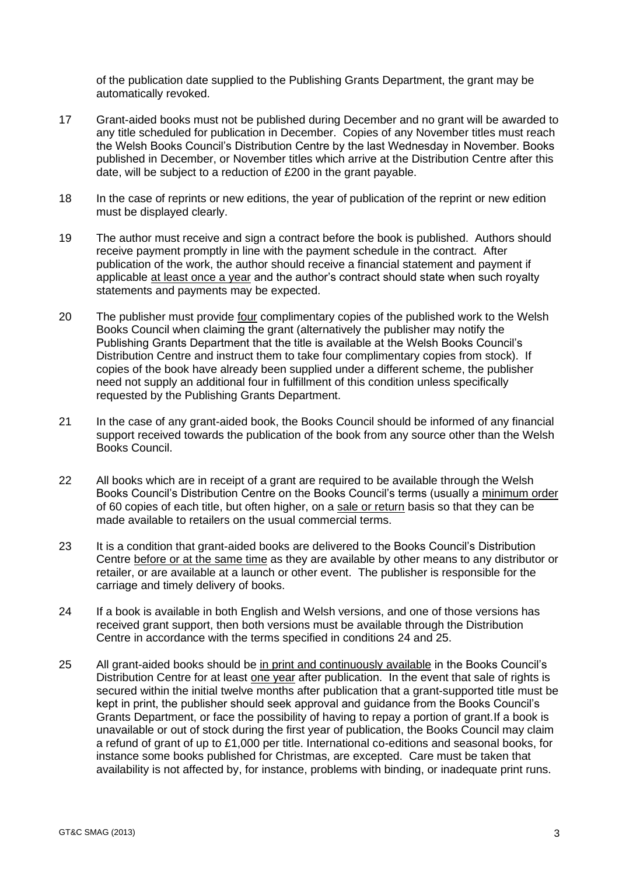of the publication date supplied to the Publishing Grants Department, the grant may be automatically revoked.

- 17 Grant-aided books must not be published during December and no grant will be awarded to any title scheduled for publication in December. Copies of any November titles must reach the Welsh Books Council's Distribution Centre by the last Wednesday in November. Books published in December, or November titles which arrive at the Distribution Centre after this date, will be subject to a reduction of £200 in the grant payable.
- 18 In the case of reprints or new editions, the year of publication of the reprint or new edition must be displayed clearly.
- 19 The author must receive and sign a contract before the book is published. Authors should receive payment promptly in line with the payment schedule in the contract. After publication of the work, the author should receive a financial statement and payment if applicable at least once a year and the author's contract should state when such royalty statements and payments may be expected.
- 20 The publisher must provide four complimentary copies of the published work to the Welsh Books Council when claiming the grant (alternatively the publisher may notify the Publishing Grants Department that the title is available at the Welsh Books Council's Distribution Centre and instruct them to take four complimentary copies from stock). If copies of the book have already been supplied under a different scheme, the publisher need not supply an additional four in fulfillment of this condition unless specifically requested by the Publishing Grants Department.
- 21 In the case of any grant-aided book, the Books Council should be informed of any financial support received towards the publication of the book from any source other than the Welsh Books Council.
- 22 All books which are in receipt of a grant are required to be available through the Welsh Books Council's Distribution Centre on the Books Council's terms (usually a minimum order of 60 copies of each title, but often higher, on a sale or return basis so that they can be made available to retailers on the usual commercial terms.
- 23 It is a condition that grant-aided books are delivered to the Books Council's Distribution Centre before or at the same time as they are available by other means to any distributor or retailer, or are available at a launch or other event. The publisher is responsible for the carriage and timely delivery of books.
- 24 If a book is available in both English and Welsh versions, and one of those versions has received grant support, then both versions must be available through the Distribution Centre in accordance with the terms specified in conditions 24 and 25.
- 25 All grant-aided books should be in print and continuously available in the Books Council's Distribution Centre for at least one year after publication. In the event that sale of rights is secured within the initial twelve months after publication that a grant-supported title must be kept in print, the publisher should seek approval and guidance from the Books Council's Grants Department, or face the possibility of having to repay a portion of grant.If a book is unavailable or out of stock during the first year of publication, the Books Council may claim a refund of grant of up to £1,000 per title. International co-editions and seasonal books, for instance some books published for Christmas, are excepted. Care must be taken that availability is not affected by, for instance, problems with binding, or inadequate print runs.